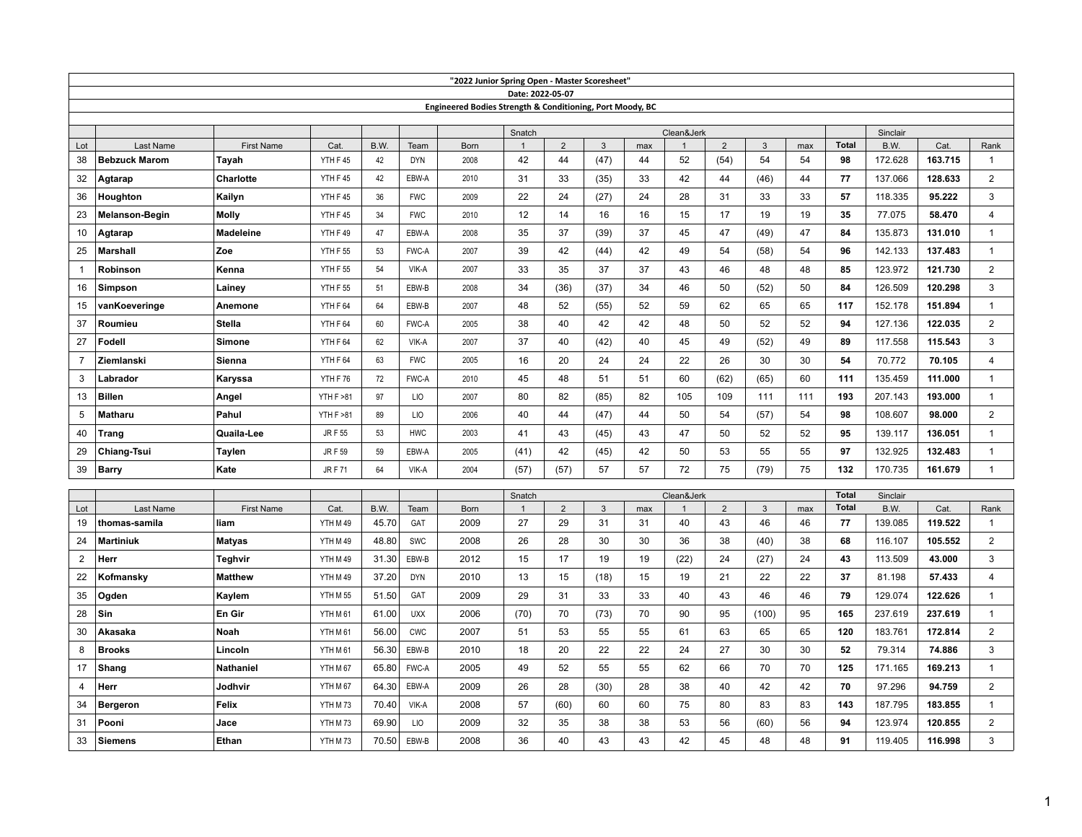| "2022 Junior Spring Open - Master Scoresheet" |                      |                   |                     |       |            |                                                           |                  |                |              |            |              |                |              |     |              |          |         |                         |
|-----------------------------------------------|----------------------|-------------------|---------------------|-------|------------|-----------------------------------------------------------|------------------|----------------|--------------|------------|--------------|----------------|--------------|-----|--------------|----------|---------|-------------------------|
|                                               |                      |                   |                     |       |            |                                                           | Date: 2022-05-07 |                |              |            |              |                |              |     |              |          |         |                         |
|                                               |                      |                   |                     |       |            | Engineered Bodies Strength & Conditioning, Port Moody, BC |                  |                |              |            |              |                |              |     |              |          |         |                         |
|                                               |                      |                   |                     |       |            |                                                           | Snatch           |                |              | Clean&Jerk |              |                |              |     |              | Sinclair |         |                         |
| Lot                                           | Last Name            | <b>First Name</b> | Cat.                | B.W.  | Team       | <b>Born</b>                                               | $\mathbf{1}$     | 2              | $\mathbf{3}$ | max        | $\mathbf{1}$ | 2              | $\mathbf{3}$ | max | <b>Total</b> | B.W.     | Cat.    | Rank                    |
| 38                                            | <b>Bebzuck Marom</b> | Tayah             | YTH F45             | 42    | <b>DYN</b> | 2008                                                      | 42               | 44             | (47)         | 44         | 52           | (54)           | 54           | 54  | 98           | 172.628  | 163.715 | 1                       |
| 32                                            | Agtarap              | <b>Charlotte</b>  | YTH F45             | 42    | EBW-A      | 2010                                                      | 31               | 33             | (35)         | 33         | 42           | 44             | (46)         | 44  | 77           | 137.066  | 128.633 | $\overline{2}$          |
| 36                                            | Houghton             | Kailyn            | YTH F45             | 36    | <b>FWC</b> | 2009                                                      | 22               | 24             | (27)         | 24         | 28           | 31             | 33           | 33  | 57           | 118.335  | 95.222  | 3                       |
| 23                                            | Melanson-Begin       | Molly             | YTH F45             | 34    | <b>FWC</b> | 2010                                                      | 12               | 14             | 16           | 16         | 15           | 17             | 19           | 19  | 35           | 77.075   | 58.470  | 4                       |
| 10                                            | Agtarap              | <b>Madeleine</b>  | YTH F49             | 47    | EBW-A      | 2008                                                      | 35               | 37             | (39)         | 37         | 45           | 47             | (49)         | 47  | 84           | 135.873  | 131.010 | 1                       |
| 25                                            | Marshall             | Zoe               | YTH F 55            | 53    | FWC-A      | 2007                                                      | 39               | 42             | (44)         | 42         | 49           | 54             | (58)         | 54  | 96           | 142.133  | 137.483 | $\mathbf{1}$            |
| 1                                             | Robinson             | Kenna             | YTH F 55            | 54    | VIK-A      | 2007                                                      | 33               | 35             | 37           | 37         | 43           | 46             | 48           | 48  | 85           | 123.972  | 121.730 | $\overline{2}$          |
| 16                                            | <b>Simpson</b>       | Lainey            | <b>YTH F 55</b>     | 51    | EBW-B      | 2008                                                      | 34               | (36)           | (37)         | 34         | 46           | 50             | (52)         | 50  | 84           | 126.509  | 120.298 | 3                       |
| 15                                            | vanKoeveringe        | Anemone           | YTH F 64            | 64    | EBW-B      | 2007                                                      | 48               | 52             | (55)         | 52         | 59           | 62             | 65           | 65  | 117          | 152.178  | 151.894 | $\mathbf{1}$            |
| 37                                            | Roumieu              | Stella            | YTH F 64            | 60    | FWC-A      | 2005                                                      | 38               | 40             | 42           | 42         | 48           | 50             | 52           | 52  | 94           | 127.136  | 122.035 | $\overline{2}$          |
| 27                                            | Fodell               | Simone            | YTH F 64            | 62    | VIK-A      | 2007                                                      | 37               | 40             | (42)         | 40         | 45           | 49             | (52)         | 49  | 89           | 117.558  | 115.543 | 3                       |
| $\overline{7}$                                | Ziemlanski           | Sienna            | YTH F 64            | 63    | <b>FWC</b> | 2005                                                      | 16               | 20             | 24           | 24         | 22           | 26             | 30           | 30  | 54           | 70.772   | 70.105  | $\overline{4}$          |
| 3                                             | Labrador             | Karyssa           | YTH F 76            | 72    | FWC-A      | 2010                                                      | 45               | 48             | 51           | 51         | 60           | (62)           | (65)         | 60  | 111          | 135.459  | 111.000 | $\mathbf{1}$            |
| 13                                            | <b>Billen</b>        | Angel             | <b>YTH F &gt;81</b> | 97    | <b>LIO</b> | 2007                                                      | 80               | 82             | (85)         | 82         | 105          | 109            | 111          | 111 | 193          | 207.143  | 193.000 | $\mathbf{1}$            |
| 5                                             | <b>Matharu</b>       | Pahul             | <b>YTH F &gt;81</b> | 89    | LIO        | 2006                                                      | 40               | 44             | (47)         | 44         | 50           | 54             | (57)         | 54  | 98           | 108.607  | 98.000  | $\overline{2}$          |
| 40                                            | <b>Trang</b>         | Quaila-Lee        | <b>JRF 55</b>       | 53    | <b>HWC</b> | 2003                                                      | 41               | 43             | (45)         | 43         | 47           | 50             | 52           | 52  | 95           | 139.117  | 136.051 | $\mathbf{1}$            |
| 29                                            | Chiang-Tsui          | Taylen            | <b>JRF59</b>        | 59    | EBW-A      | 2005                                                      | (41)             | 42             | (45)         | 42         | 50           | 53             | 55           | 55  | 97           | 132.925  | 132.483 | $\mathbf{1}$            |
| 39                                            | <b>Barry</b>         | Kate              | <b>JRF71</b>        | 64    | VIK-A      | 2004                                                      | (57)             | (57)           | 57           | 57         | 72           | 75             | (79)         | 75  | 132          | 170.735  | 161.679 | $\mathbf{1}$            |
|                                               |                      |                   |                     |       |            |                                                           | Snatch           |                |              |            | Clean&Jerk   |                |              |     | <b>Total</b> | Sinclair |         |                         |
| Lot                                           | Last Name            | <b>First Name</b> | Cat.                | B.W.  | Team       | Born                                                      | $\overline{1}$   | $\overline{2}$ | $\mathbf{3}$ | max        |              | $\overline{2}$ | 3            | max | <b>Total</b> | B.W.     | Cat.    | Rank                    |
| 19                                            | thomas-samila        | liam              | YTH M 49            | 45.70 | GAT        | 2009                                                      | 27               | 29             | 31           | 31         | 40           | 43             | 46           | 46  | 77           | 139.085  | 119.522 | $\mathbf{1}$            |
| 24                                            | <b>Martiniuk</b>     | <b>Matyas</b>     | YTH M 49            | 48.80 | SWC        | 2008                                                      | 26               | 28             | 30           | 30         | 36           | 38             | (40)         | 38  | 68           | 116.107  | 105.552 | $\overline{2}$          |
| $\overline{2}$                                | Herr                 | <b>Teghvir</b>    | YTH M 49            | 31.30 | EBW-B      | 2012                                                      | 15               | 17             | 19           | 19         | (22)         | 24             | (27)         | 24  | 43           | 113.509  | 43.000  | 3                       |
| 22                                            | Kofmansky            | <b>Matthew</b>    | YTH M 49            | 37.20 | <b>DYN</b> | 2010                                                      | 13               | 15             | (18)         | 15         | 19           | 21             | 22           | 22  | 37           | 81.198   | 57.433  | $\overline{\mathbf{4}}$ |
| 35                                            | Ogden                | Kaylem            | YTH M 55            | 51.50 | GAT        | 2009                                                      | 29               | 31             | 33           | 33         | 40           | 43             | 46           | 46  | 79           | 129.074  | 122.626 | $\mathbf{1}$            |
| 28                                            | Sin                  | En Gir            | YTH M 61            | 61.00 | <b>UXX</b> | 2006                                                      | (70)             | 70             | (73)         | 70         | 90           | 95             | (100)        | 95  | 165          | 237.619  | 237.619 | $\mathbf{1}$            |
| 30                                            | Akasaka              | Noah              | YTH M 61            | 56.00 | <b>CWC</b> | 2007                                                      | 51               | 53             | 55           | 55         | 61           | 63             | 65           | 65  | 120          | 183.761  | 172.814 | $\overline{2}$          |
| 8                                             | <b>Brooks</b>        | Lincoln           | YTH M 61            | 56.30 | EBW-B      | 2010                                                      | 18               | 20             | 22           | 22         | 24           | 27             | 30           | 30  | 52           | 79.314   | 74.886  | 3                       |
| 17                                            | Shang                | <b>Nathaniel</b>  | YTH M 67            | 65.80 | FWC-A      | 2005                                                      | 49               | 52             | 55           | 55         | 62           | 66             | 70           | 70  | 125          | 171.165  | 169.213 | $\mathbf{1}$            |
| 4                                             | Herr                 | Jodhvir           | YTH M 67            | 64.30 | EBW-A      | 2009                                                      | 26               | 28             | (30)         | 28         | 38           | 40             | 42           | 42  | 70           | 97.296   | 94.759  | $\overline{2}$          |
| 34                                            | <b>Bergeron</b>      | Felix             | YTH M73             | 70.40 | VIK-A      | 2008                                                      | 57               | (60)           | 60           | 60         | 75           | 80             | 83           | 83  | 143          | 187.795  | 183.855 | $\mathbf{1}$            |
| 31                                            | Pooni                | Jace              | YTH M73             | 69.90 | LIO        | 2009                                                      | 32               | 35             | 38           | 38         | 53           | 56             | (60)         | 56  | 94           | 123.974  | 120.855 | $\overline{2}$          |
| 33                                            | <b>Siemens</b>       | Ethan             | YTH M73             | 70.50 | EBW-B      | 2008                                                      | 36               | 40             | 43           | 43         | 42           | 45             | 48           | 48  | 91           | 119.405  | 116.998 | 3                       |